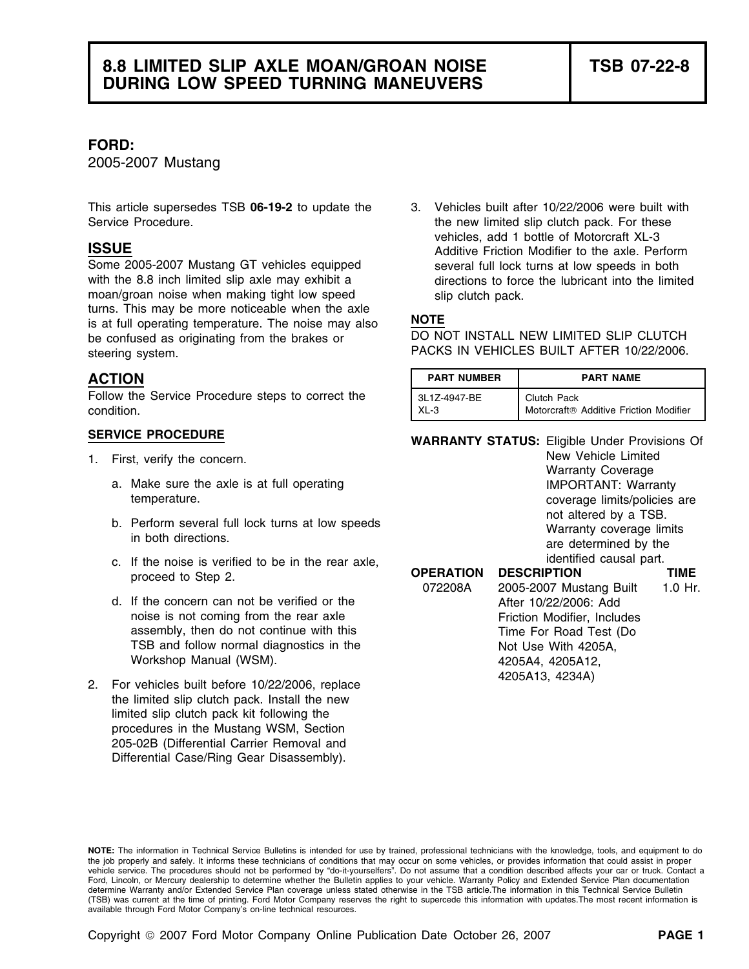### **FORD:**

2005-2007 Mustang

This article supersedes TSB **06-19-2** to update the 3. Vehicles built after 10/22/2006 were built with Service Procedure. The new limited slip clutch pack. For these

Some 2005-2007 Mustang GT vehicles equipped several full lock turns at low speeds in both<br>with the 8.8 inch limited slip axle may exhibit a directions to force the lubricant into the limited moan/groan noise when making tight low speed slip clutch pack. turns. This may be more noticeable when the axle is at full operating temperature. The noise may also **NOTE**<br>he confused as originating from the brakes or **DO NOT INSTALL NEW LIMITED SLIP CLUTCH** be confused as originating from the brakes or steering system. The steering system. The steering system.

## **ACTION**

- - a. Make sure the axle is at full operating **IMPORTANT:** Warranty temperature. The coverage limits/policies are temperature.
	-
	- c. If the noise is verified to be in the rear axle,  $proceed to Step 2.$
	- d. If the concern can not be verified or the noise is not coming from the rear axle assembly, then do not continue with this TSB and follow normal diagnostics in the Workshop Manual (WSM).
- 2. For vehicles built before 10/22/2006, replace the limited slip clutch pack. Install the new limited slip clutch pack kit following the procedures in the Mustang WSM, Section 205-02B (Differential Carrier Removal and Differential Case/Ring Gear Disassembly).

vehicles, add 1 bottle of Motorcraft XL-3 **ISSUE** Additive Friction Modifier to the axle. Perform directions to force the lubricant into the limited

| ACTION                                            | <b>PART NUMBER</b> | <b>PART NAME</b>                       |
|---------------------------------------------------|--------------------|----------------------------------------|
| Follow the Service Procedure steps to correct the | 3L1Z-4947-BE       | Clutch Pack                            |
| condition.                                        | $XL-3$             | Motorcraft® Additive Friction Modifier |

**SERVICE PROCEDURE WARRANTY STATUS:** Eligible Under Provisions Of

1. First, verify the concern. The concerners of the state of the United Warranty Coverage Services of the United Warranty Coverage b. Perform several full lock turns at low speeds in both directions.<br>
in both directions.<br> **1998 The South Directions** in the rear axie and the section of the identified causal part.

| <b>OPERATION</b> | <b>DESCRIPTION</b>          | TIME    |
|------------------|-----------------------------|---------|
| 072208A          | 2005-2007 Mustang Built     | 1.0 Hr. |
|                  | After 10/22/2006: Add       |         |
|                  | Friction Modifier, Includes |         |
|                  | Time For Road Test (Do      |         |
|                  | Not Use With 4205A,         |         |
|                  | 4205A4, 4205A12,            |         |
|                  | 4205A13, 4234A)             |         |

**NOTE:** The information in Technical Service Bulletins is intended for use by trained, professional technicians with the knowledge, tools, and equipment to do the job properly and safely. It informs these technicians of conditions that may occur on some vehicles, or provides information that could assist in proper<br>vehicle service. The procedures should not be performed by "do-it Ford, Lincoln, or Mercury dealership to determine whether the Bulletin applies to your vehicle. Warranty Policy and Extended Service Plan documentation determine Warranty and/or Extended Service Plan coverage unless stated otherwise in the TSB article.The information in this Technical Service Bulletin (TSB) was current at the time of printing. Ford Motor Company reserves the right to supercede this information with updates.The most recent information is available through Ford Motor Company's on-line technical resources.